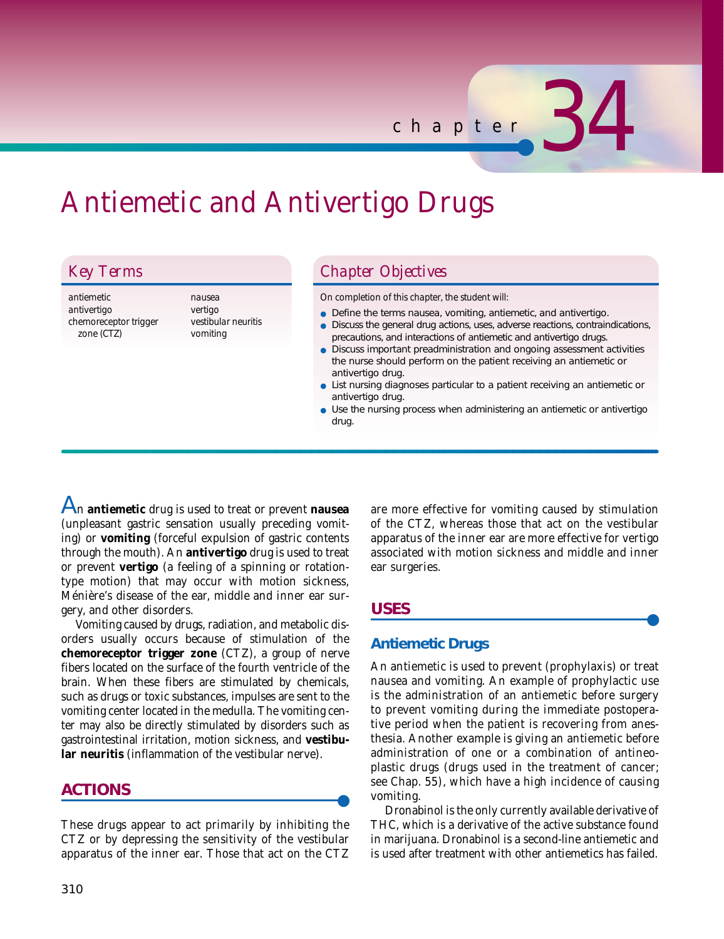# *chapter* 34

## Antiemetic and Antivertigo Drugs

*antiemetic antivertigo chemoreceptor trigger zone (CTZ)*

*nausea vertigo vestibular neuritis vomiting*

#### *Key Terms Chapter Objectives*

*On completion of this chapter, the student will:* 

- Define the terms nausea, vomiting, antiemetic, and antivertigo.
- Discuss the general drug actions, uses, adverse reactions, contraindications, precautions, and interactions of antiemetic and antivertigo drugs.
- Discuss important preadministration and ongoing assessment activities the nurse should perform on the patient receiving an antiemetic or antivertigo drug.
- List nursing diagnoses particular to a patient receiving an antiemetic or antivertigo drug.
- Use the nursing process when administering an antiemetic or antivertigo drug.

An **antiemetic** drug is used to treat or prevent **nausea** (unpleasant gastric sensation usually preceding vomiting) or **vomiting** (forceful expulsion of gastric contents through the mouth). An **antivertigo** drug is used to treat or prevent **vertigo** (a feeling of a spinning or rotationtype motion) that may occur with motion sickness, Ménière's disease of the ear, middle and inner ear surgery, and other disorders.

Vomiting caused by drugs, radiation, and metabolic disorders usually occurs because of stimulation of the **chemoreceptor trigger zone** (CTZ), a group of nerve fibers located on the surface of the fourth ventricle of the brain. When these fibers are stimulated by chemicals, such as drugs or toxic substances, impulses are sent to the vomiting center located in the medulla. The vomiting center may also be directly stimulated by disorders such as gastrointestinal irritation, motion sickness, and **vestibular neuritis** (inflammation of the vestibular nerve).

#### **ACTIONS** ●

These drugs appear to act primarily by inhibiting the CTZ or by depressing the sensitivity of the vestibular apparatus of the inner ear. Those that act on the CTZ are more effective for vomiting caused by stimulation of the CTZ, whereas those that act on the vestibular apparatus of the inner ear are more effective for vertigo associated with motion sickness and middle and inner ear surgeries.

## **USES** ●

#### **Antiemetic Drugs**

An antiemetic is used to prevent (prophylaxis) or treat nausea and vomiting. An example of prophylactic use is the administration of an antiemetic before surgery to prevent vomiting during the immediate postoperative period when the patient is recovering from anesthesia. Another example is giving an antiemetic before administration of one or a combination of antineoplastic drugs (drugs used in the treatment of cancer; see Chap. 55), which have a high incidence of causing vomiting.

Dronabinol is the only currently available derivative of THC, which is a derivative of the active substance found in marijuana. Dronabinol is a second-line antiemetic and is used after treatment with other antiemetics has failed.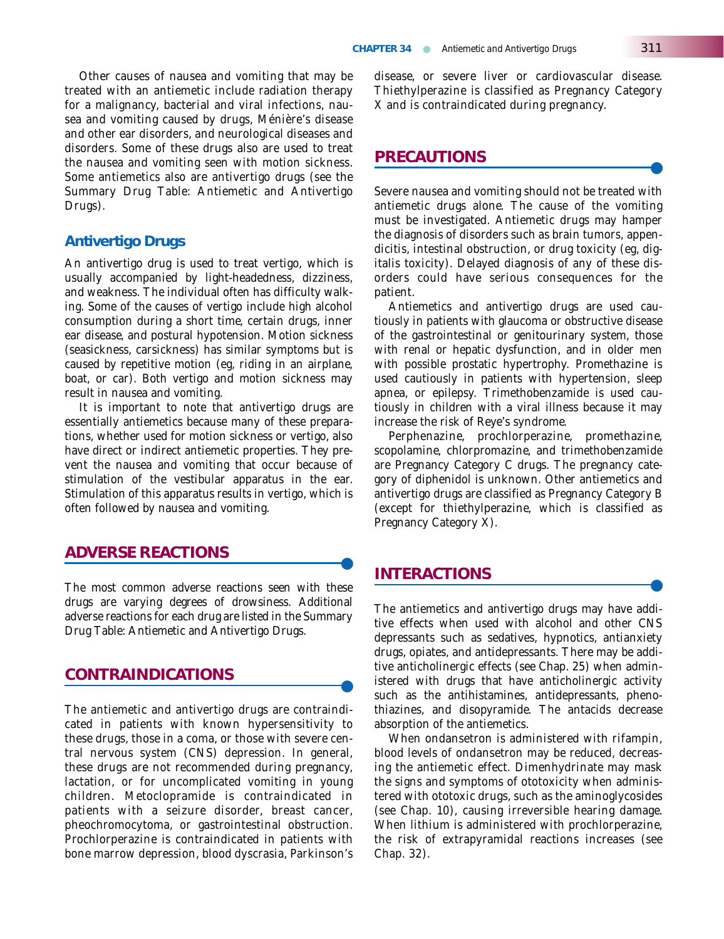Other causes of nausea and vomiting that may be treated with an antiemetic include radiation therapy for a malignancy, bacterial and viral infections, nausea and vomiting caused by drugs, Ménière's disease and other ear disorders, and neurological diseases and disorders. Some of these drugs also are used to treat the nausea and vomiting seen with motion sickness. Some antiemetics also are antivertigo drugs (see the Summary Drug Table: Antiemetic and Antivertigo Drugs).

#### **Antivertigo Drugs**

An antivertigo drug is used to treat vertigo, which is usually accompanied by light-headedness, dizziness, and weakness. The individual often has difficulty walking. Some of the causes of vertigo include high alcohol consumption during a short time, certain drugs, inner ear disease, and postural hypotension. Motion sickness (seasickness, carsickness) has similar symptoms but is caused by repetitive motion (eg, riding in an airplane, boat, or car). Both vertigo and motion sickness may result in nausea and vomiting.

It is important to note that antivertigo drugs are essentially antiemetics because many of these preparations, whether used for motion sickness or vertigo, also have direct or indirect antiemetic properties. They prevent the nausea and vomiting that occur because of stimulation of the vestibular apparatus in the ear. Stimulation of this apparatus results in vertigo, which is often followed by nausea and vomiting.

#### **ADVERSE REACTIONS** ●

The most common adverse reactions seen with these drugs are varying degrees of drowsiness. Additional adverse reactions for each drug are listed in the Summary Drug Table: Antiemetic and Antivertigo Drugs.

#### **CONTRAINDICATIONS** ●

The antiemetic and antivertigo drugs are contraindicated in patients with known hypersensitivity to these drugs, those in a coma, or those with severe central nervous system (CNS) depression. In general, these drugs are not recommended during pregnancy, lactation, or for uncomplicated vomiting in young children. Metoclopramide is contraindicated in patients with a seizure disorder, breast cancer, pheochromocytoma, or gastrointestinal obstruction. Prochlorperazine is contraindicated in patients with bone marrow depression, blood dyscrasia, Parkinson's

disease, or severe liver or cardiovascular disease. Thiethylperazine is classified as Pregnancy Category X and is contraindicated during pregnancy.

#### **PRECAUTIONS**

Severe nausea and vomiting should not be treated with antiemetic drugs alone. The cause of the vomiting must be investigated. Antiemetic drugs may hamper the diagnosis of disorders such as brain tumors, appendicitis, intestinal obstruction, or drug toxicity (eg, digitalis toxicity). Delayed diagnosis of any of these disorders could have serious consequences for the patient.

Antiemetics and antivertigo drugs are used cautiously in patients with glaucoma or obstructive disease of the gastrointestinal or genitourinary system, those with renal or hepatic dysfunction, and in older men with possible prostatic hypertrophy. Promethazine is used cautiously in patients with hypertension, sleep apnea, or epilepsy. Trimethobenzamide is used cautiously in children with a viral illness because it may increase the risk of Reye's syndrome.

Perphenazine, prochlorperazine, promethazine, scopolamine, chlorpromazine, and trimethobenzamide are Pregnancy Category C drugs. The pregnancy category of diphenidol is unknown. Other antiemetics and antivertigo drugs are classified as Pregnancy Category B (except for thiethylperazine, which is classified as Pregnancy Category X).

#### **INTERACTIONS**

The antiemetics and antivertigo drugs may have additive effects when used with alcohol and other CNS depressants such as sedatives, hypnotics, antianxiety drugs, opiates, and antidepressants. There may be additive anticholinergic effects (see Chap. 25) when administered with drugs that have anticholinergic activity such as the antihistamines, antidepressants, phenothiazines, and disopyramide. The antacids decrease absorption of the antiemetics.

When ondansetron is administered with rifampin, blood levels of ondansetron may be reduced, decreasing the antiemetic effect. Dimenhydrinate may mask the signs and symptoms of ototoxicity when administered with ototoxic drugs, such as the aminoglycosides (see Chap. 10), causing irreversible hearing damage. When lithium is administered with prochlorperazine, the risk of extrapyramidal reactions increases (see Chap. 32).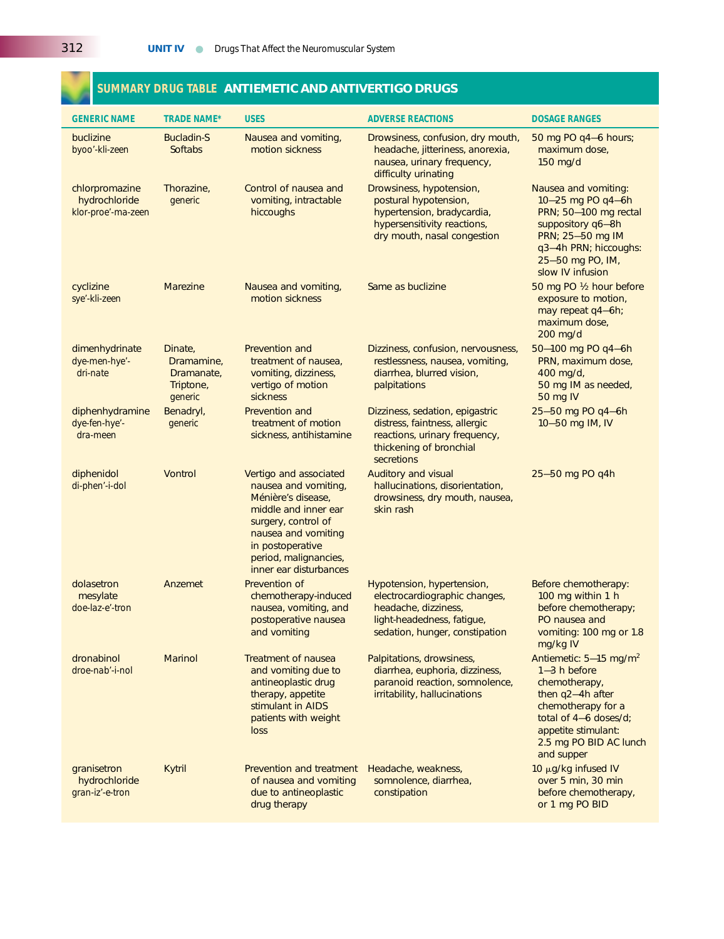### **SUMMARY DRUG TABLE ANTIEMETIC AND ANTIVERTIGO DRUGS**

| <b>GENERIC NAME</b>                                   | <b>TRADE NAME*</b>                                          | <b>USES</b>                                                                                                                                                                                                       | <b>ADVERSE REACTIONS</b>                                                                                                                            | <b>DOSAGE RANGES</b>                                                                                                                                                                                        |
|-------------------------------------------------------|-------------------------------------------------------------|-------------------------------------------------------------------------------------------------------------------------------------------------------------------------------------------------------------------|-----------------------------------------------------------------------------------------------------------------------------------------------------|-------------------------------------------------------------------------------------------------------------------------------------------------------------------------------------------------------------|
| buclizine<br>byoo'-kli-zeen                           | <b>Bucladin-S</b><br><b>Softabs</b>                         | Nausea and vomiting,<br>motion sickness                                                                                                                                                                           | Drowsiness, confusion, dry mouth,<br>headache, jitteriness, anorexia,<br>nausea, urinary frequency,<br>difficulty urinating                         | 50 mg PO q4-6 hours;<br>maximum dose,<br>$150$ mg/d                                                                                                                                                         |
| chlorpromazine<br>hydrochloride<br>klor-proe'-ma-zeen | Thorazine,<br>generic                                       | Control of nausea and<br>vomiting, intractable<br>hiccoughs                                                                                                                                                       | Drowsiness, hypotension,<br>postural hypotension,<br>hypertension, bradycardia,<br>hypersensitivity reactions,<br>dry mouth, nasal congestion       | Nausea and vomiting:<br>10-25 mg PO q4-6h<br>PRN; 50-100 mg rectal<br>suppository q6-8h<br>PRN; 25-50 mg IM<br>q3-4h PRN; hiccoughs:<br>25-50 mg PO, IM,<br>slow IV infusion                                |
| cyclizine<br>sye'-kli-zeen                            | <b>Marezine</b>                                             | Nausea and vomiting,<br>motion sickness                                                                                                                                                                           | Same as buclizine                                                                                                                                   | 50 mg PO 1/2 hour before<br>exposure to motion,<br>may repeat q4-6h;<br>maximum dose,<br>200 mg/d                                                                                                           |
| dimenhydrinate<br>dye-men-hye'-<br>dri-nate           | Dinate,<br>Dramamine,<br>Dramanate,<br>Triptone,<br>generic | Prevention and<br>treatment of nausea,<br>vomiting, dizziness,<br>vertigo of motion<br>sickness                                                                                                                   | Dizziness, confusion, nervousness,<br>restlessness, nausea, vomiting,<br>diarrhea, blurred vision,<br>palpitations                                  | 50-100 mg PO q4-6h<br>PRN, maximum dose,<br>400 mg/d,<br>50 mg IM as needed,<br>50 mg IV                                                                                                                    |
| diphenhydramine<br>dye-fen-hye'-<br>dra-meen          | Benadryl,<br>generic                                        | <b>Prevention and</b><br>treatment of motion<br>sickness, antihistamine                                                                                                                                           | Dizziness, sedation, epigastric<br>distress, faintness, allergic<br>reactions, urinary frequency,<br>thickening of bronchial<br>secretions          | 25-50 mg PO q4-6h<br>10-50 mg IM, IV                                                                                                                                                                        |
| diphenidol<br>di-phen'-i-dol                          | Vontrol                                                     | Vertigo and associated<br>nausea and vomiting,<br>Ménière's disease,<br>middle and inner ear<br>surgery, control of<br>nausea and vomiting<br>in postoperative<br>period, malignancies,<br>inner ear disturbances | Auditory and visual<br>hallucinations, disorientation,<br>drowsiness, dry mouth, nausea,<br>skin rash                                               | 25-50 mg PO q4h                                                                                                                                                                                             |
| dolasetron<br>mesylate<br>doe-laz-e'-tron             | Anzemet                                                     | Prevention of<br>chemotherapy-induced<br>nausea, vomiting, and<br>postoperative nausea<br>and vomiting                                                                                                            | Hypotension, hypertension,<br>electrocardiographic changes,<br>headache, dizziness,<br>light-headedness, fatigue,<br>sedation, hunger, constipation | Before chemotherapy:<br>100 mg within 1 h<br>before chemotherapy;<br>PO nausea and<br>vomiting: 100 mg or 1.8<br>mg/kg IV                                                                                   |
| dronabinol<br>droe-nab'-i-nol                         | <b>Marinol</b>                                              | <b>Treatment of nausea</b><br>and vomiting due to<br>antineoplastic drug<br>therapy, appetite<br>stimulant in AIDS<br>patients with weight<br>loss                                                                | Palpitations, drowsiness,<br>diarrhea, euphoria, dizziness,<br>paranoid reaction, somnolence,<br>irritability, hallucinations                       | Antiemetic: $5-15$ mg/m <sup>2</sup><br>$1 - 3$ h before<br>chemotherapy,<br>then q2-4h after<br>chemotherapy for a<br>total of 4-6 doses/d;<br>appetite stimulant:<br>2.5 mg PO BID AC lunch<br>and supper |
| granisetron<br>hydrochloride<br>gran-iz'-e-tron       | Kytril                                                      | <b>Prevention and treatment</b><br>of nausea and vomiting<br>due to antineoplastic<br>drug therapy                                                                                                                | Headache, weakness,<br>somnolence, diarrhea,<br>constipation                                                                                        | 10 μg/kg infused IV<br>over 5 min, 30 min<br>before chemotherapy,<br>or 1 mg PO BID                                                                                                                         |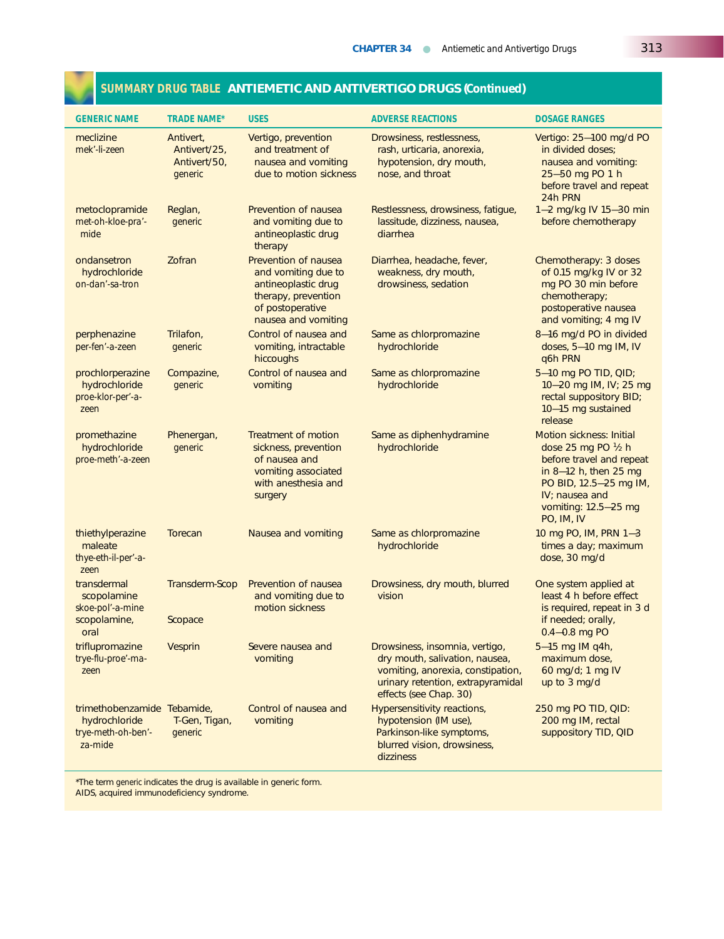| SUMMARY DRUG TABLE ANTIEMETIC AND ANTIVERTIGO DRUGS (Continued) |
|-----------------------------------------------------------------|
|-----------------------------------------------------------------|

| <b>GENERIC NAME</b>                                                           | <b>TRADE NAME*</b>                                   | <b>USES</b>                                                                                                                          | <b>ADVERSE REACTIONS</b>                                                                                                                                             | <b>DOSAGE RANGES</b>                                                                                                                                                                            |
|-------------------------------------------------------------------------------|------------------------------------------------------|--------------------------------------------------------------------------------------------------------------------------------------|----------------------------------------------------------------------------------------------------------------------------------------------------------------------|-------------------------------------------------------------------------------------------------------------------------------------------------------------------------------------------------|
| meclizine<br>mek'-li-zeen                                                     | Antivert,<br>Antivert/25,<br>Antivert/50,<br>generic | Vertigo, prevention<br>and treatment of<br>nausea and vomiting<br>due to motion sickness                                             | Drowsiness, restlessness,<br>rash, urticaria, anorexia,<br>hypotension, dry mouth,<br>nose, and throat                                                               | Vertigo: 25-100 mg/d PO<br>in divided doses;<br>nausea and vomiting:<br>25-50 mg PO 1 h<br>before travel and repeat<br>24h PRN                                                                  |
| metoclopramide<br>met-oh-kloe-pra'-<br>mide                                   | Reglan,<br>generic                                   | Prevention of nausea<br>and vomiting due to<br>antineoplastic drug<br>therapy                                                        | Restlessness, drowsiness, fatigue,<br>lassitude, dizziness, nausea,<br>diarrhea                                                                                      | 1-2 mg/kg IV 15-30 min<br>before chemotherapy                                                                                                                                                   |
| ondansetron<br>hydrochloride<br>on-dan'-sa-tron                               | Zofran                                               | Prevention of nausea<br>and vomiting due to<br>antineoplastic drug<br>therapy, prevention<br>of postoperative<br>nausea and vomiting | Diarrhea, headache, fever,<br>weakness, dry mouth,<br>drowsiness, sedation                                                                                           | Chemotherapy: 3 doses<br>of 0.15 mg/kg IV or 32<br>mg PO 30 min before<br>chemotherapy;<br>postoperative nausea<br>and vomiting; 4 mg IV                                                        |
| perphenazine<br>per-fen'-a-zeen                                               | Trilafon,<br>generic                                 | Control of nausea and<br>vomiting, intractable<br>hiccoughs                                                                          | Same as chlorpromazine<br>hydrochloride                                                                                                                              | 8-16 mg/d PO in divided<br>doses, 5-10 mg IM, IV<br>q6h PRN                                                                                                                                     |
| prochlorperazine<br>hydrochloride<br>proe-klor-per'-a-<br>zeen                | Compazine,<br>generic                                | Control of nausea and<br>vomiting                                                                                                    | Same as chlorpromazine<br>hydrochloride                                                                                                                              | 5-10 mg PO TID, QID;<br>10-20 mg IM, IV; 25 mg<br>rectal suppository BID;<br>10-15 mg sustained<br>release                                                                                      |
| promethazine<br>hydrochloride<br>proe-meth'-a-zeen                            | Phenergan,<br>generic                                | <b>Treatment of motion</b><br>sickness, prevention<br>of nausea and<br>vomiting associated<br>with anesthesia and<br>surgery         | Same as diphenhydramine<br>hydrochloride                                                                                                                             | <b>Motion sickness: Initial</b><br>dose 25 mg PO 1/2 h<br>before travel and repeat<br>in $8-12$ h, then 25 mg<br>PO BID, 12.5-25 mg IM,<br>IV; nausea and<br>vomiting: 12.5-25 mg<br>PO, IM, IV |
| thiethylperazine<br>maleate<br>thye-eth-il-per'-a-<br>zeen                    | <b>Torecan</b>                                       | Nausea and vomiting                                                                                                                  | Same as chlorpromazine<br>hydrochloride                                                                                                                              | 10 mg PO, IM, PRN 1-3<br>times a day; maximum<br>dose, 30 mg/d                                                                                                                                  |
| transdermal<br>scopolamine<br>skoe-pol'-a-mine<br>scopolamine,<br>oral        | Transderm-Scop<br>Scopace                            | Prevention of nausea<br>and vomiting due to<br>motion sickness                                                                       | Drowsiness, dry mouth, blurred<br>vision                                                                                                                             | One system applied at<br>least 4 h before effect<br>is required, repeat in 3 d<br>if needed; orally,<br>0.4-0.8 mg PO                                                                           |
| triflupromazine<br>trye-flu-proe'-ma-<br>zeen                                 | Vesprin                                              | Severe nausea and<br>vomiting                                                                                                        | Drowsiness, insomnia, vertigo,<br>dry mouth, salivation, nausea,<br>vomiting, anorexia, constipation,<br>urinary retention, extrapyramidal<br>effects (see Chap. 30) | 5-15 mg IM q4h,<br>maximum dose,<br>60 mg/d; 1 mg IV<br>up to 3 mg/d                                                                                                                            |
| trimethobenzamide Tebamide,<br>hydrochloride<br>trye-meth-oh-ben'-<br>za-mide | T-Gen, Tigan,<br>generic                             | Control of nausea and<br>vomiting                                                                                                    | Hypersensitivity reactions,<br>hypotension (IM use),<br>Parkinson-like symptoms,<br>blurred vision, drowsiness,<br>dizziness                                         | 250 mg PO TID, QID:<br>200 mg IM, rectal<br>suppository TID, QID                                                                                                                                |

\*The term *generic* indicates the drug is available in generic form. AIDS, acquired immunodeficiency syndrome.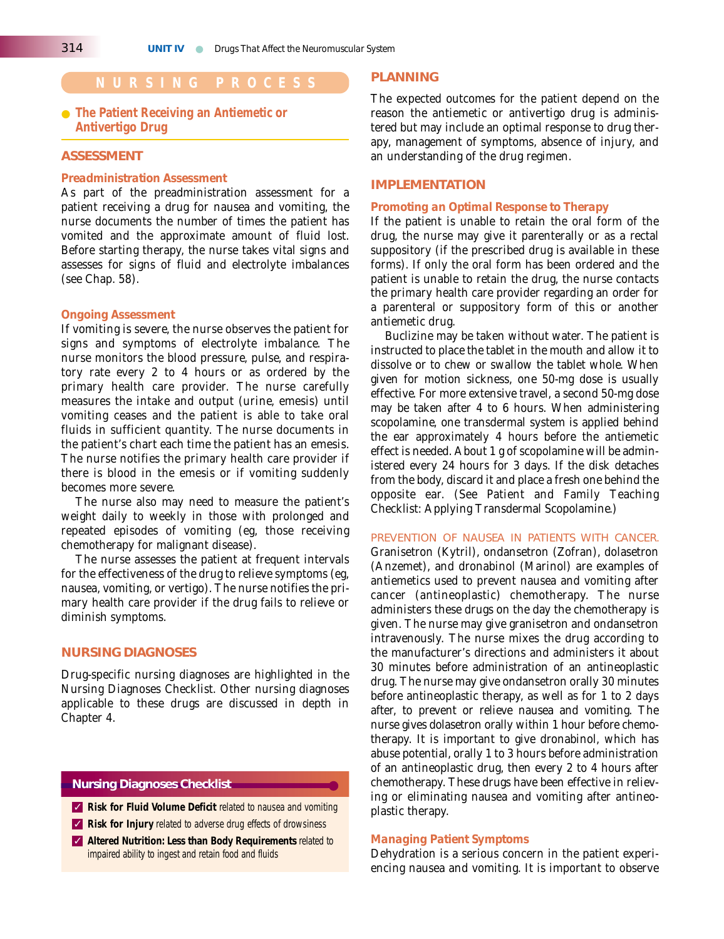### **NURSING PROCESS PLANNING**

#### ● **The Patient Receiving an Antiemetic or Antivertigo Drug**

#### **ASSESSMENT**

#### *Preadministration Assessment*

As part of the preadministration assessment for a patient receiving a drug for nausea and vomiting, the nurse documents the number of times the patient has vomited and the approximate amount of fluid lost. Before starting therapy, the nurse takes vital signs and assesses for signs of fluid and electrolyte imbalances (see Chap. 58).

#### *Ongoing Assessment*

If vomiting is severe, the nurse observes the patient for signs and symptoms of electrolyte imbalance. The nurse monitors the blood pressure, pulse, and respiratory rate every 2 to 4 hours or as ordered by the primary health care provider. The nurse carefully measures the intake and output (urine, emesis) until vomiting ceases and the patient is able to take oral fluids in sufficient quantity. The nurse documents in the patient's chart each time the patient has an emesis. The nurse notifies the primary health care provider if there is blood in the emesis or if vomiting suddenly becomes more severe.

The nurse also may need to measure the patient's weight daily to weekly in those with prolonged and repeated episodes of vomiting (eg, those receiving chemotherapy for malignant disease).

The nurse assesses the patient at frequent intervals for the effectiveness of the drug to relieve symptoms (eg, nausea, vomiting, or vertigo). The nurse notifies the primary health care provider if the drug fails to relieve or diminish symptoms.

#### **NURSING DIAGNOSES**

Drug-specific nursing diagnoses are highlighted in the Nursing Diagnoses Checklist. Other nursing diagnoses applicable to these drugs are discussed in depth in Chapter 4.

#### **Nursing Diagnoses Checklist**

- ✓ **Risk for Fluid Volume Deficit** related to nausea and vomiting
- ✓ **Risk for Injury** related to adverse drug effects of drowsiness
- ✓ **Altered Nutrition: Less than Body Requirements** related to impaired ability to ingest and retain food and fluids

The expected outcomes for the patient depend on the reason the antiemetic or antivertigo drug is administered but may include an optimal response to drug therapy, management of symptoms, absence of injury, and an understanding of the drug regimen.

#### **IMPLEMENTATION**

#### *Promoting an Optimal Response to Therapy*

If the patient is unable to retain the oral form of the drug, the nurse may give it parenterally or as a rectal suppository (if the prescribed drug is available in these forms). If only the oral form has been ordered and the patient is unable to retain the drug, the nurse contacts the primary health care provider regarding an order for a parenteral or suppository form of this or another antiemetic drug.

Buclizine may be taken without water. The patient is instructed to place the tablet in the mouth and allow it to dissolve or to chew or swallow the tablet whole. When given for motion sickness, one 50-mg dose is usually effective. For more extensive travel, a second 50-mg dose may be taken after 4 to 6 hours. When administering scopolamine, one transdermal system is applied behind the ear approximately 4 hours before the antiemetic effect is needed. About 1 g of scopolamine will be administered every 24 hours for 3 days. If the disk detaches from the body, discard it and place a fresh one behind the opposite ear. (See Patient and Family Teaching Checklist: Applying Transdermal Scopolamine.)

PREVENTION OF NAUSEA IN PATIENTS WITH CANCER. Granisetron (Kytril), ondansetron (Zofran), dolasetron (Anzemet), and dronabinol (Marinol) are examples of antiemetics used to prevent nausea and vomiting after cancer (antineoplastic) chemotherapy. The nurse administers these drugs on the day the chemotherapy is given. The nurse may give granisetron and ondansetron intravenously. The nurse mixes the drug according to the manufacturer's directions and administers it about 30 minutes before administration of an antineoplastic drug. The nurse may give ondansetron orally 30 minutes before antineoplastic therapy, as well as for 1 to 2 days after, to prevent or relieve nausea and vomiting. The nurse gives dolasetron orally within 1 hour before chemotherapy. It is important to give dronabinol, which has abuse potential, orally 1 to 3 hours before administration of an antineoplastic drug, then every 2 to 4 hours after chemotherapy. These drugs have been effective in relieving or eliminating nausea and vomiting after antineoplastic therapy.

#### *Managing Patient Symptoms*

Dehydration is a serious concern in the patient experiencing nausea and vomiting. It is important to observe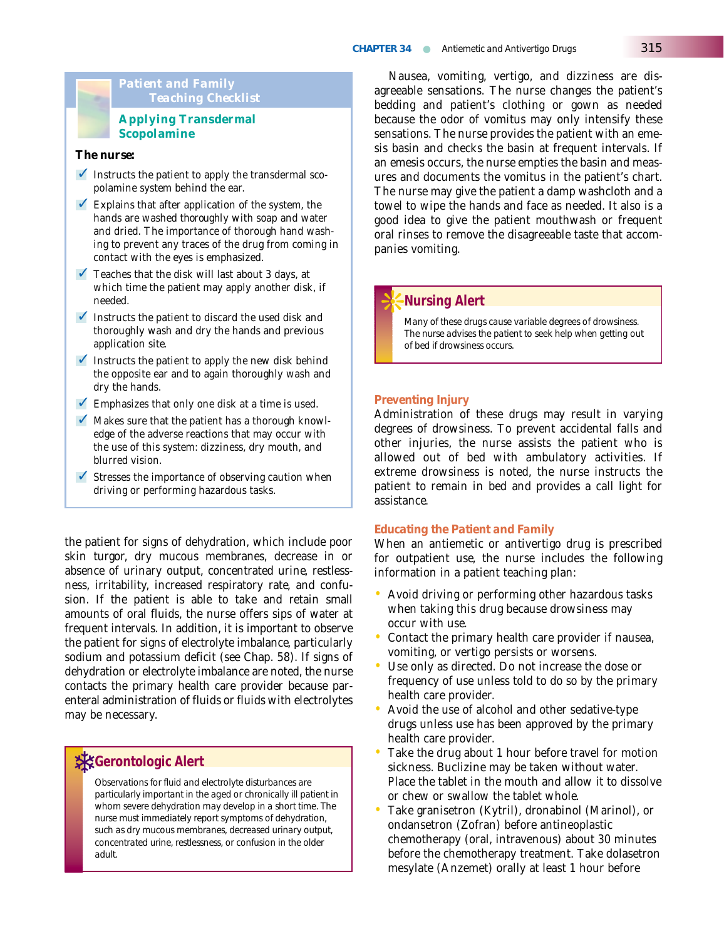#### *Patient and Family Teaching Checklist*

#### **Applying Transdermal Scopolamine**

#### *The nurse:*

- $\sqrt{\frac{1}{1}}$  Instructs the patient to apply the transdermal scopolamine system behind the ear.
- $\blacktriangleright$  Explains that after application of the system, the hands are washed *thoroughly* with soap and water and dried. The importance of thorough hand washing to prevent any traces of the drug from coming in contact with the eyes is emphasized.
- $\sqrt{\phantom{a}}$  Teaches that the disk will last about 3 days, at which time the patient may apply another disk, if needed.
- $\sqrt{\frac{1}{1}}$  Instructs the patient to discard the used disk and thoroughly wash and dry the hands and previous application site.
- $\sqrt{\frac{1}{1}}$  Instructs the patient to apply the new disk behind the opposite ear and to again thoroughly wash and dry the hands.
- $\sqrt{\frac{1}{2}}$  Emphasizes that only one disk at a time is used.
- $\blacktriangledown$  Makes sure that the patient has a thorough knowledge of the adverse reactions that may occur with the use of this system: dizziness, dry mouth, and blurred vision.
- $\checkmark$  Stresses the importance of observing caution when driving or performing hazardous tasks.

the patient for signs of dehydration, which include poor skin turgor, dry mucous membranes, decrease in or absence of urinary output, concentrated urine, restlessness, irritability, increased respiratory rate, and confusion. If the patient is able to take and retain small amounts of oral fluids, the nurse offers sips of water at frequent intervals. In addition, it is important to observe the patient for signs of electrolyte imbalance, particularly sodium and potassium deficit (see Chap. 58). If signs of dehydration or electrolyte imbalance are noted, the nurse contacts the primary health care provider because parenteral administration of fluids or fluids with electrolytes may be necessary.

#### *S***i** Gerontologic Alert

*Observations for fluid and electrolyte disturbances are particularly important in the aged or chronically ill patient in whom severe dehydration may develop in a short time. The nurse must immediately report symptoms of dehydration, such as dry mucous membranes, decreased urinary output, concentrated urine, restlessness, or confusion in the older adult.*

Nausea, vomiting, vertigo, and dizziness are disagreeable sensations. The nurse changes the patient's bedding and patient's clothing or gown as needed because the odor of vomitus may only intensify these sensations. The nurse provides the patient with an emesis basin and checks the basin at frequent intervals. If an emesis occurs, the nurse empties the basin and measures and documents the vomitus in the patient's chart. The nurse may give the patient a damp washcloth and a towel to wipe the hands and face as needed. It also is a good idea to give the patient mouthwash or frequent oral rinses to remove the disagreeable taste that accompanies vomiting.

#### ❊**Nursing Alert**

*Many of these drugs cause variable degrees of drowsiness. The nurse advises the patient to seek help when getting out of bed if drowsiness occurs.*

#### *Preventing Injury*

Administration of these drugs may result in varying degrees of drowsiness. To prevent accidental falls and other injuries, the nurse assists the patient who is allowed out of bed with ambulatory activities. If extreme drowsiness is noted, the nurse instructs the patient to remain in bed and provides a call light for assistance.

#### *Educating the Patient and Family*

When an antiemetic or antivertigo drug is prescribed for outpatient use, the nurse includes the following information in a patient teaching plan:

- Avoid driving or performing other hazardous tasks when taking this drug because drowsiness may occur with use.
- Contact the primary health care provider if nausea, vomiting, or vertigo persists or worsens.
- Use only as directed. Do not increase the dose or frequency of use unless told to do so by the primary health care provider.
- Avoid the use of alcohol and other sedative-type drugs unless use has been approved by the primary health care provider.
- Take the drug about 1 hour before travel for motion sickness. Buclizine may be taken without water. Place the tablet in the mouth and allow it to dissolve or chew or swallow the tablet whole.
- Take granisetron (Kytril), dronabinol (Marinol), or ondansetron (Zofran) before antineoplastic chemotherapy (oral, intravenous) about 30 minutes before the chemotherapy treatment. Take dolasetron mesylate (Anzemet) orally at least 1 hour before